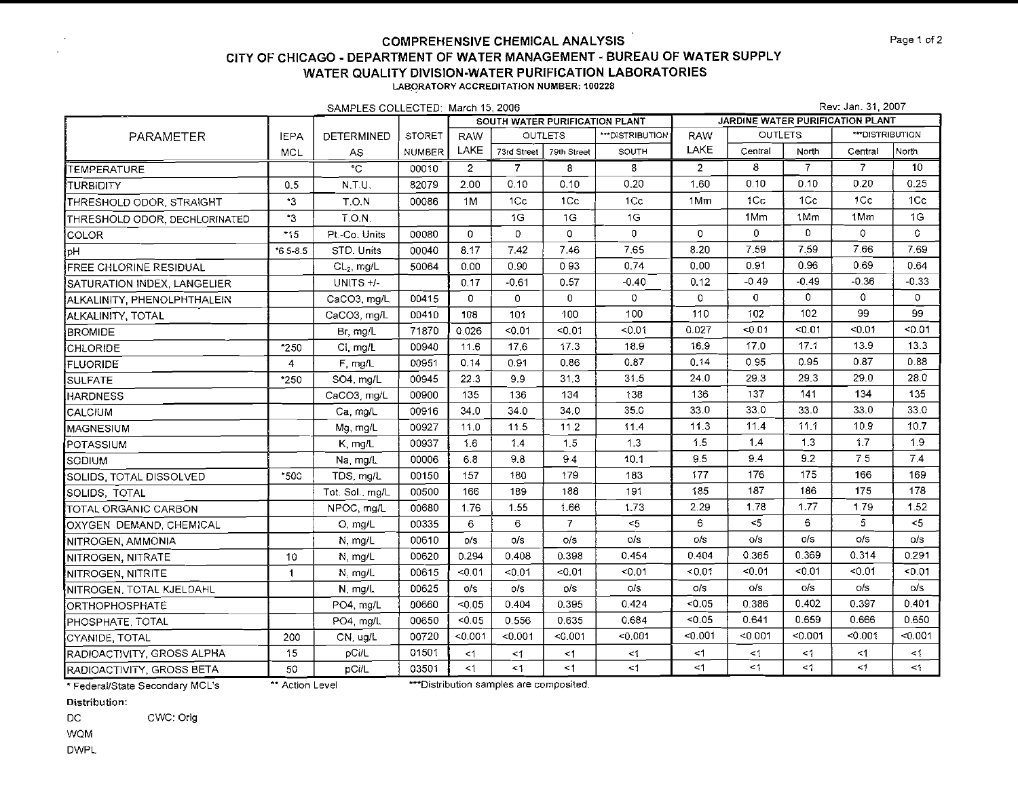| SAMPLES COLLECTED: March 15, 2006 |                |                   |               |                |                 |                                |                  |                                  | Rev: Jan. 31, 2007 |                |                 |                  |  |  |  |
|-----------------------------------|----------------|-------------------|---------------|----------------|-----------------|--------------------------------|------------------|----------------------------------|--------------------|----------------|-----------------|------------------|--|--|--|
|                                   |                |                   |               |                |                 | SOUTH WATER PURIFICATION PLANT |                  | JARDINE WATER PURIFICATION PLANT |                    |                |                 |                  |  |  |  |
| PARAMETER                         | <b>IEPA</b>    | <b>DETERMINED</b> | <b>STORET</b> | <b>RAW</b>     |                 | <b>OUTLETS</b>                 | *** DISTRIBUTION | <b>RAW</b>                       | <b>OUTLETS</b>     |                | ***DISTRIBUTION |                  |  |  |  |
|                                   | <b>MCL</b>     | AS.               | <b>NUMBER</b> | LAKE           | 73rd Street     | 79th Street                    | SOUTH            | LAKE                             | Central            | North          | Central         | North            |  |  |  |
| TEMPERATURE                       |                | ैंट               | 00010         | $\overline{2}$ | $\overline{7}$  | 8                              | 8                | $\overline{2}$                   | 8                  | $\overline{7}$ | $\overline{7}$  | 10 <sup>10</sup> |  |  |  |
| <b>ITURBIDITY</b>                 | 0.5            | N.T.U.            | 82079         | 2.00           | 0.10            | 0.10                           | 0.20             | 1.60                             | 0.10               | 0.10           | 0.20            | 0.25             |  |  |  |
| THRESHOLD ODOR, STRAIGHT          | $*3$           | T.O.N             | 00086         | 1M             | 1C <sub>C</sub> | 1Cc                            | 1C <sub>C</sub>  | 1Mm                              | 1 <sub>C</sub>     | 1Cc            | 1 <sub>C</sub>  | 1 <sub>C</sub>   |  |  |  |
| THRESHOLD ODOR, DECHLORINATED     | ٠3             | T.O.N.            |               |                | 1G              | 1G                             | 1G               |                                  | 1Mm                | 1Mm            | 1Mm             | 1G               |  |  |  |
| COLOR                             | $*15$          | Pt.-Co. Units     | 00080         | $\mathbf{0}$   | $\mathbf{O}$    | $\mathbf{0}$                   | $\overline{0}$   | $\mathbf{0}$                     | $\mathbf{0}$       | $\Omega$       | $\circ$         | 0                |  |  |  |
| ¦pH                               | $*65 - 8.5$    | STD. Units        | 00040         | 8.17           | 7.42            | 7.46                           | 7.65             | 8.20                             | 7.59               | 7.59           | 7.66            | 7.69             |  |  |  |
| FREE CHLORINE RESIDUAL            |                | $CL2$ , mg/L      | 50064         | 0.00           | 0.90            | 093                            | 0.74             | 0.00                             | 0.91               | 0.96           | 0.69            | 0.64             |  |  |  |
| SATURATION INDEX, LANGELIER       |                | UNITS +/-         |               | 0.17           | $-0.61$         | 0.57                           | $-0.40$          | 0.12                             | $-0.49$            | $-0.49$        | $-0.36$         | $-0.33$          |  |  |  |
| ALKALINITY, PHENOLPHTHALEIN       |                | CaCO3, mg/L       | 00415         | 0              | $\mathbf{0}$    | $\mathbf{0}$                   | $\mathbf{0}$     | $\circ$                          | $\mathbf 0$        | 0              | $\Omega$        | $\Omega$         |  |  |  |
| ALKALINITY, TOTAL                 |                | CaCO3, mg/L       | 00410         | 108            | 101             | 100                            | 100              | 110                              | 102                | 102            | 99              | 99               |  |  |  |
| BROMIDE                           |                | Br, mg/L          | 71870         | 0.026          | < 0.01          | < 0.01                         | < 0.01           | 0.027                            | 0.01               | < 0.01         | < 0.01          | < 0.01           |  |  |  |
| CHLORIDE                          | *250           | Ci, mg/L          | 00940         | 11.6           | 17.6            | 17.3                           | 18.9             | 16.9                             | 17.0               | 17.1           | 13.9            | 13.3             |  |  |  |
| FLUORIDE                          | $\overline{4}$ | F, mg/L           | 00951         | 0.14           | 0.91            | 0.86                           | 0.87             | 0.14                             | 0.95               | 0.95           | 0.87            | 0.88             |  |  |  |
| SULFATE                           | *250           | SO4, mg/L         | 00945         | 22.3           | 9.9             | 31.3                           | 31.5             | 24.0                             | 29.3               | 29.3           | 29.0            | 28.0             |  |  |  |
| <b>HARDNESS</b>                   |                | CaCO3, mg/L       | 00900         | 135            | 136             | 134                            | 138              | 136                              | 137                | 141            | 134             | 135              |  |  |  |
| CALCIUM                           |                | Ca mg/L           | 00916         | 34.0           | 34.0            | 34.0                           | 35.0             | 33.0                             | 33.0               | 33.0           | 33.0            | 33.0             |  |  |  |
| <b>MAGNESIUM</b>                  |                | Mg, mg/L          | 00927         | 11.0           | 11.5            | 11.2                           | 11.4             | 113                              | 11.4               | 11.1           | 10.9            | 10.7             |  |  |  |
| POTASSIUM                         |                | K, mg/L           | 00937         | 1.6            | 1.4             | 1.5                            | 1.3              | 1.5                              | 1,4                | 1.3            | 1.7             | 1.9              |  |  |  |
| SODIUM                            |                | Na, mg/L          | 00006         | 6.8            | 9.8             | 9.4                            | 10.1             | 9.5                              | 9.4                | 9.2            | 7.5             | 7.4              |  |  |  |
| SOLIDS, TOTAL DISSOLVED           | *500           | TDS, mg/L         | 00150         | 157            | 180             | 179                            | 183              | 177                              | 176                | 175            | 166             | 169              |  |  |  |
| SOLIDS, TOTAL                     |                | Tot. Sol. mg/L    | 00500         | 166            | 189             | 188                            | 191              | 185                              | 187                | 186            | 175             | 178              |  |  |  |
| TOTAL ORGANIC CARBON              |                | NPOC, mg/L        | 00680         | 1.76           | 1.55            | 1.66                           | 173              | 2.29                             | 1.78               | 1.77           | 1.79            | 1.52             |  |  |  |
| OXYGEN DEMAND, CHEMICAL           |                | O, mg/L           | 00335         | 6              | 6               | $\overline{7}$                 | $<$ 5            | 6                                | $<$ 5              | 6              | 5               | $<$ 5            |  |  |  |
| NITROGEN, AMMONIA                 |                | N, mg/L           | 00610         | O/S            | o/s             | o/s                            | o/s              | o/s                              | o/s                | O/S            | o/s             | o/s              |  |  |  |
| NITROGEN, NITRATE                 | 10             | N, mg/L           | 00620         | 0.294          | 0.408           | 0.398                          | 0.454            | 0.404                            | 0.365              | 0.369          | 0.314           | 0.291            |  |  |  |
| NITROGEN, NITRITE                 | $\mathbf{1}$   | N, mg/L           | 00615         | < 0.01         | 50.01           | $-0.01$                        | 50.01            | $-0.01$                          | 0.01               | $-0.01$        | $-0.01$         | 50.01            |  |  |  |
| NITROGEN. TOTAL KJELDAHL          |                | N, mg/L           | 00625         | o/s            | o/s             | o/s                            | o/s              | O/S                              | o/s                | o/s            | o/s             | o/s              |  |  |  |
| ORTHOPHOSPHATE                    |                | PO4, mg/L         | 00660         | < 0.05         | 0.404           | 0.395                          | 0.424            | $-0.05$                          | 0.386              | 0.402          | 0.397           | 0.401            |  |  |  |
| PHOSPHATE, TOTAL                  |                | PO4, mg/L         | 00650         | < 0.05         | 0.556           | 0.635                          | 0.684            | < 0.05                           | 0.641              | 0.659          | 0.666           | 0.650            |  |  |  |
| CYANIDE, TOTAL                    | 200            | CN, ug/L          | 00720         | < 0.001        | < 0.001         | < 0.001                        | < 0.001          | 0.001                            | < 0.001            | < 0.001        | < 0.001         | < 0.001          |  |  |  |
| RADIOACTIVITY, GROSS ALPHA        | 15             | pCi/L             | 01501         | $\leq$ 1       | $\leq 1$        | <1                             | $\leq 1$         | $\leq$ 1                         | $\leq 1$           | $\leq$ {       | $<$ 1           | $\leq 1$         |  |  |  |
| IRADIOACTIVITY, GROSS BETA        | 50             | pCi/L             | 03501         | $\leq 1$       | <1              | < 1                            | <1               | <1                               | $\leq 1$           | $\leq 1$       | <1              | $\leq$           |  |  |  |

\* Federal/State Secondary MCL's

\*\* Action Level

\*\*\*Distribution samples are composited.

Distribution:

CWC: Orig DC

WQM

**DWPL**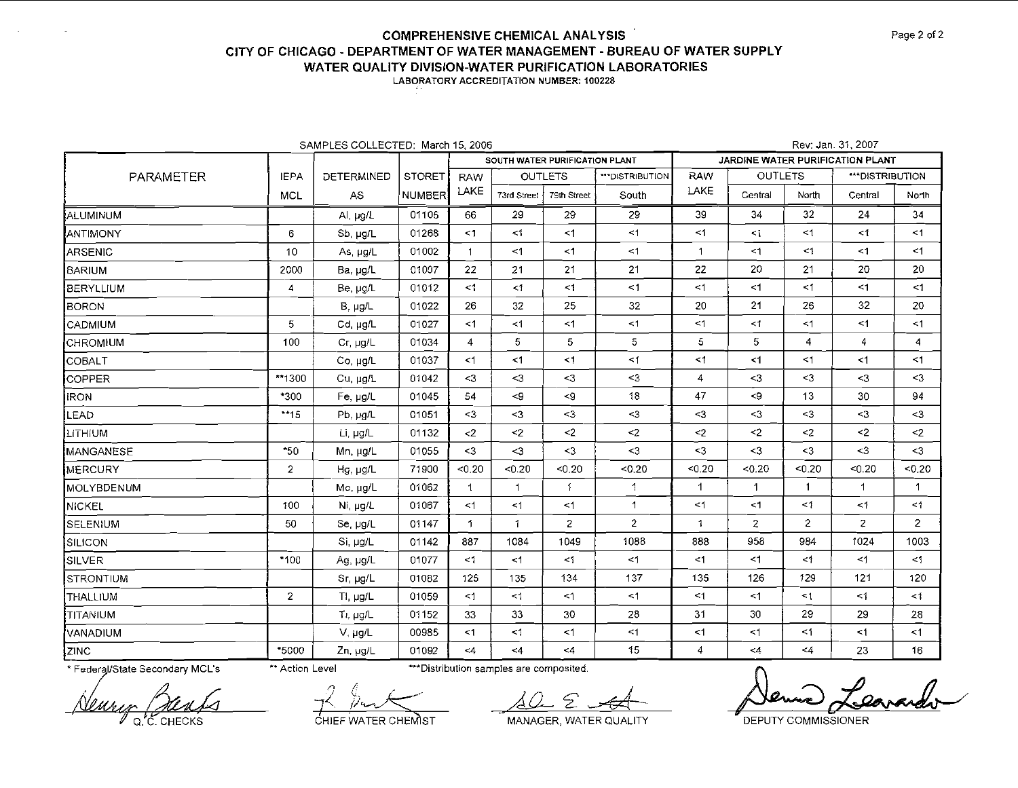LABORATORY ACCREDITATION NUMBER: 100228

| SAMPLES COLLECTED: March 15, 2006 |                |                  |               |                |                                |                |                |                |                                  | Rev: Jan. 31, 2007 |                  |              |  |  |  |  |
|-----------------------------------|----------------|------------------|---------------|----------------|--------------------------------|----------------|----------------|----------------|----------------------------------|--------------------|------------------|--------------|--|--|--|--|
|                                   |                |                  |               |                | SOUTH WATER PURIFICATION PLANT |                |                |                | JARDINE WATER PURIFICATION PLANT |                    |                  |              |  |  |  |  |
| <b>PARAMETER</b>                  | <b>IEPA</b>    | DETERMINED       | <b>STORET</b> | <b>RAW</b>     |                                | <b>OUTLETS</b> | "DISTRIBUTION  | <b>RAW</b>     | <b>OUTLETS</b>                   |                    | *** DISTRIBUTION |              |  |  |  |  |
|                                   | <b>MCL</b>     | AS               | NUMBER        | LAKE           | 73rd Street                    | 79th Street    | South          | LAKE           | Central                          | North              | Central          | North        |  |  |  |  |
| ALUMINUM                          |                | Al, µg/L         | 01105         | 66             | 29                             | 29             | 29             | 39             | 34                               | 32                 | 24               | 34           |  |  |  |  |
| ANTIMONY                          | 6              | Sb, µg/L         | 01268         | $\leq$ 1       | $\leq 1$                       | <1             | $\leq$ 1       | $\leq$ 1       | $\leq$                           | $\leq$ 1           | $\leq 1$         | <1           |  |  |  |  |
| ARSENIC                           | 10             | As, $\mu$ g/L    | 01002         | $\mathbf{1}$   | $<$ 1                          | <1             | <1             | $\mathbf 1$    | $\leq 1$                         | $\leq 1$           | $<$ 1            | <1           |  |  |  |  |
| <b>BARIUM</b>                     | 2000           | Ba, µg/L         | 01007         | 22             | 21                             | 21             | 21             | 22             | 20                               | 21                 | 20               | 20           |  |  |  |  |
| <b>BERYLLIUM</b>                  | 4              | Be, µg/L         | 01012         | $\leq$ 1       | $<1\,$                         | $\leq$ 1       | $\leq$ 1       | $\leq$ 1       | <1                               | $\leq$ 1           | $\leq$ 1         | $\leq$ 1     |  |  |  |  |
| <b>BORON</b>                      |                | $B. \mu g/L$     | 01022         | 26             | 32                             | 25             | 32             | 20             | 21                               | 26                 | 32               | 20           |  |  |  |  |
| <b>CADMIUM</b>                    | 5              | Cd, µg/L         | 01027         | $\leq$ 1       | <1                             | <1             | $<$ 1          | $\leq$ 1       | <1                               | $<$ 1              | <1               | $\leq$ 1     |  |  |  |  |
| <b>CHROMIUM</b>                   | 100            | Cr, µg/L         | 01034         | $\overline{4}$ | 5                              | 5              | 5              | 5              | 5                                | 4                  | 4                | 4            |  |  |  |  |
| COBALT                            |                | Co, µg/L         | 01037         | $<$ 1          | $<$ 1                          | $\leq$ 1       | $\leq$ 1       | $\leq$ 1       | $\leq 1$                         | <1                 | <1               | $\leq$ 1     |  |  |  |  |
| COPPER                            | **1300         | Cu, µg/L         | 01042         | $\leq$ 3       | $3$                            | $<$ 3          | $3$            | 4              | $3$                              | $3$                | $3$              | $3$          |  |  |  |  |
| <b>IRON</b>                       | $*300$         | Fe, µg/L         | 01045         | 54             | $\leq$ 9                       | $\leq$         | 18             | 47             | < 9                              | 13                 | 30               | 94           |  |  |  |  |
| LEAD                              | $**15$         | Pb, µg/L         | 01051         | $3$            | $3$                            | $3$            | $3$            | $\leq$         | $3$                              | $3$                | $3$              | $3$          |  |  |  |  |
| <b>LITHIUM</b>                    |                | Li, µg/L         | 01132         | $\leq$         | $2$                            | $2$            | $\leq$         | $\leq$ 2       | $2$                              | $\leq$             | $2$              | $2$          |  |  |  |  |
| MANGANESE                         | *50            | Mn, µg/L         | 01055         | $\leq$ 3       | $\leq$                         | $3$            | $3$            | $\leq$ 3       | $3$                              | $\leq$ 3           | $\leq$ 3         | $3$          |  |  |  |  |
| MERCURY                           | $\overline{2}$ | Hg, µg/L         | 71900         | < 0.20         | < 0.20                         | < 0.20         | < 0.20         | < 0.20         | < 0.20                           | 0.20               | $0.20$           | < 0.20       |  |  |  |  |
| MOLYBDENUM                        |                | Mo, µg/L         | 01062         | $\mathbf 1$    | $\mathbf{1}$                   | 1              | $\uparrow$     | 1              | 1                                | $\mathbf{1}$       | $\mathbf{1}$     | $\mathbf{1}$ |  |  |  |  |
| NICKEL                            | 100            | Ni, µg/L         | 01067         | $\leq$ 1       | $\leq 1$                       | <1             | $\mathbf{1}$   | $\leq$ 1       | $\leq$ 1                         | $\leq$ 1           | $\leq 1$         | <1           |  |  |  |  |
| SELENIUM                          | 50             | Se, µg/L         | 01147         | 1              | 1                              | $\overline{c}$ | $\overline{2}$ | $\mathbf{1}$   | $\overline{2}$                   | $\overline{2}$     | $\mathbf{z}$     | 2            |  |  |  |  |
| ∫SILICON.                         |                | Si, µg/L         | 01142         | 887            | 1084                           | 1049           | 1088           | 888            | 958                              | 984                | 1024             | 1003         |  |  |  |  |
| SILVER                            | $-100$         | Ag, µg/L         | 01077         | $\leq 1$       | $<$ 1                          | $\leq 1$       | $\leq$ 1       | $\leq$ 1       | <1                               | $\leq$ 1           | $\leq$ 1         | $\leq 1$     |  |  |  |  |
| STRONTIUM                         |                | Sr. µg/L         | 01082         | 125            | 135                            | 134            | 137            | 135            | 126                              | 129                | 121              | 120          |  |  |  |  |
| THALLIUM                          | $\overline{2}$ | $T1$ , $\mu g/L$ | 01059         | -1             | <1                             | <1             | $\leq$ 1       | <1             | <1                               | $\leq$ 1           | $\leq 1$         | $\leq 1$     |  |  |  |  |
| <b>TITANIUM</b>                   |                | Tr. pg/L         | 01152         | 33             | 33                             | 30             | 28             | 31             | 30                               | 29                 | 29               | 28           |  |  |  |  |
| VANADIUM                          |                | V. µg/L          | 00985         | $<$ 1          | <1                             | $<$ 1          | <1             | <1             | <1                               | <1                 | <1               | <1           |  |  |  |  |
| $\sqrt{ZINC}$                     | *5000          | Zn, µg/L         | 01092         | <4             | $<$ 4                          | $<$ 4          | 15             | $\overline{4}$ | $<\!\Delta$                      | $\leq 4$           | 23               | 16           |  |  |  |  |

\* Federal/State Secondary MCL's

\*\* Action Level

\*\*\* Distribution samples are composited.

Q.C. CHECKS

CHIEF WATER CHEMIST

MANAGER, WATER QUALITY

**DEPUTY COMMISSIONER**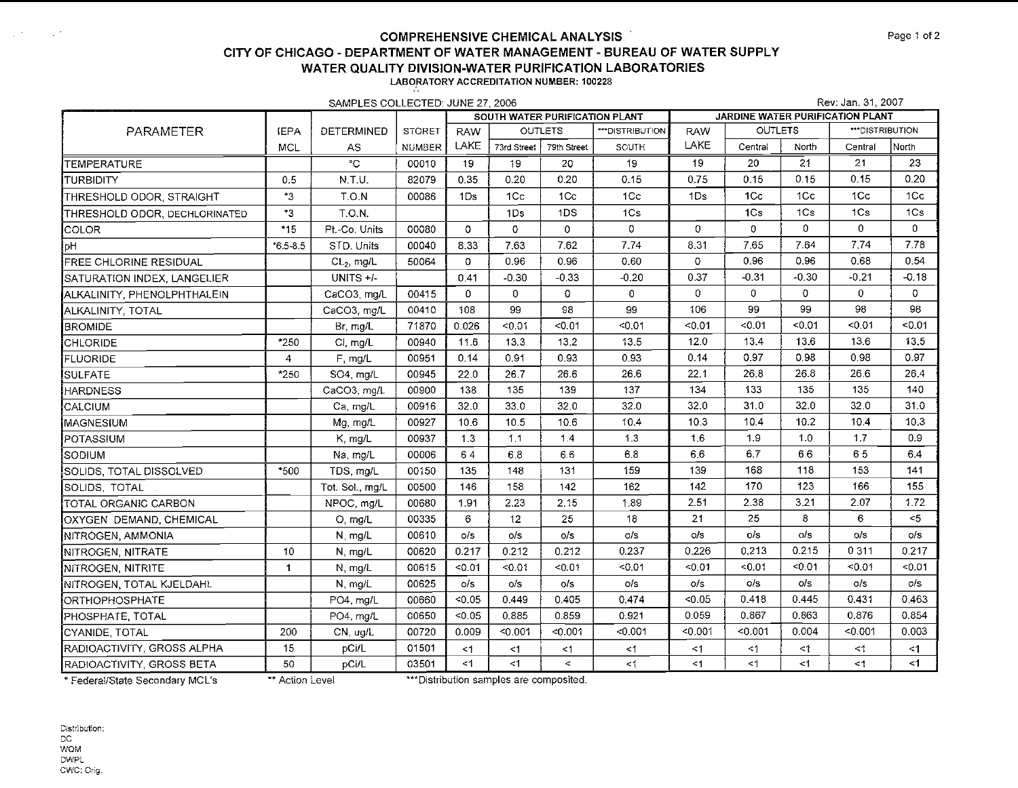|                               |                | SAMPLES COLLECTED: JUNE 27, 2006 |               |                                |              |                |                 | Rev: Jan. 31, 2007               |                |          |                |              |  |
|-------------------------------|----------------|----------------------------------|---------------|--------------------------------|--------------|----------------|-----------------|----------------------------------|----------------|----------|----------------|--------------|--|
|                               |                |                                  |               | SOUTH WATER PURIFICATION PLANT |              |                |                 | JARDINE WATER PURIFICATION PLANT |                |          |                |              |  |
| PARAMETER                     | <b>IEPA</b>    | DETERMINED                       | <b>STORET</b> | <b>RAW</b>                     |              | <b>OUTLETS</b> | ***DISTRIBUTION | <b>RAW</b>                       | <b>OUTLETS</b> |          | ""DISTRIBUTION |              |  |
|                               | <b>MCL</b>     | AS                               | <b>NUMBER</b> | LAKE                           | 73rd Street  | 79th Street    | SOUTH           | LAKE                             | Central        | North    | Central        | North        |  |
| <b>TEMPERATURE</b>            |                | $\overline{C}$                   | 00010         | 19                             | 19           | 20             | 19              | 19                               | 20             | 21       | 21             | 23           |  |
| <b>i</b> turbidity            | 0.5            | N.T.U.                           | 82079         | 0.35                           | 0.20         | 0.20           | 0.15            | 0.75                             | 0.15           | 0.15     | 0.15           | 0.20         |  |
| THRESHOLD ODOR, STRAIGHT      | *3.            | T.O.N                            | 00086         | 1Ds                            | 1Cc          | 1Cc            | 1Cc             | 1Ds                              | 1 <sub>C</sub> | 1Cc      | 1Cc            | 1Cc          |  |
| THRESHOLD ODOR, DECHLORINATED | $^{\star}3$    | T.O.N.                           |               |                                | 1Ds          | 1DS            | 1Cs             |                                  | 1Cs            | 1Cs      | 1Cs            | 1Cs          |  |
| <b>I</b> COLOR                | $*15$          | Pt.-Co. Units                    | 00080         | $\Omega$                       | $\Omega$     | $\mathbf 0$    | $\Omega$        | $\mathbf 0$                      | 0              | $\Omega$ | 0              | $\Omega$     |  |
| ĮрН                           | $*6.5 - 3.5$   | STD. Units                       | 00040         | 8.33                           | 7.63         | 7,62           | 7.74            | 8.31                             | 7.65           | 7.64     | 7,74           | 7.78         |  |
| FREE CHLORINE RESIDUAL        |                | $CL2$ mg/L                       | 50064         | $\Omega$                       | 0.96         | 0.96           | 0.60            | 0                                | 0.96           | 0.96     | 0.68           | 0.54         |  |
| SATURATION INDEX, LANGELIER   |                | UNITS +/-                        |               | 0.41                           | $-0.30$      | $-0.33$        | $-0.20$         | 0.37                             | $-0.31$        | $-0.30$  | $-0.21$        | $-0.18$      |  |
| ALKALINITY, PHENOLPHTHALEIN   |                | CaCO3, mg/L                      | 00415         | $\mathbf{0}$                   | $\mathbf{0}$ | 0              | $\mathbf{0}$    | $\mathbf{0}$                     | 0              | $\circ$  | $\mathbf{0}$   | $\mathbf{O}$ |  |
| ALKALINITY, TOTAL             |                | CaCO3, mg/L                      | 00410         | 108                            | 99           | 98             | 99              | 106                              | 99             | 99       | 98             | 98           |  |
| <b>BROMIDE</b>                |                | Br, mg/L                         | 71870         | 0.026                          | $-0.01$      | < 0.01         | 50.01           | < 0.01                           | < 0.01         | $-0.01$  | < 0.01         | < 0.01       |  |
| CHLORIDE                      | *250           | Cl, mg/L                         | 00940         | 11.6                           | 13.3         | 13.2           | 13.5            | 12.0                             | 13.4           | 13.6     | 13.6           | 13.5         |  |
| <b>FLUORIDE</b>               | $\overline{4}$ | F, mg/L                          | 00951         | 0.14                           | 0.91         | 0.93           | 0.93            | 0.14                             | 0.97           | 0.98     | 0.98           | 0.97         |  |
| SULFATE                       | $*250$         | SO4, mg/L                        | 00945         | 22.0                           | 26.7         | 26.6           | 26.6            | 22.1                             | 26.8           | 26.8     | 26.6           | 26.4         |  |
| HARDNESS                      |                | CaCO3, mg/L                      | 00900         | 138                            | 135          | 139            | 137             | 134                              | 133            | 135      | 135            | 140          |  |
| CALCIUM                       |                | Ca, mg/L                         | 00916         | 32.0                           | 33.0         | 32.0           | 32.0            | 32.0                             | 31.0           | 32.0     | 32.0           | 31.0         |  |
| MAGNESIUM                     |                | Mg, mg/L                         | 00927         | 10.6                           | 10.5         | 10.6           | 10.4            | 10.3                             | 10.4           | 10.2     | 10.4           | 10.3         |  |
| POTASSIUM                     |                | K, mg/L                          | 00937         | 1.3                            | 1.1          | 1.4            | 13              | 1.6                              | 1.9            | 1.0      | 1.7            | 0.9          |  |
| Isodium                       |                | Na, mg/L                         | 00006         | 64                             | 6.8          | 6.6            | 6.8             | 6.6                              | 6,7            | 6.6      | 65             | 6.4          |  |
| SOLIDS, TOTAL DISSOLVED       | *500           | TDS mg/L                         | 00150         | 135                            | 148          | 131            | 159             | 139                              | 168            | 118      | 153            | 141          |  |
| SOLIDS, TOTAL                 |                | Tot. Sol., mg/L                  | 00500         | 146                            | 158          | 142            | 162             | 142                              | 170            | 123      | 166            | 155          |  |
| TOTAL ORGANIC CARBON          |                | NPOC, mg/L                       | 00680         | 1.91                           | 2.23         | 2.15           | 1.89            | 2.51                             | 2.38           | 3.21     | 2.07           | 1.72         |  |
| OXYGEN DEMAND, CHEMICAL       |                | O, mg/L                          | 00335         | 6                              | 12           | 25             | 18              | 21                               | 25             | 8        | 6              | $5$          |  |
| NITROGEN, AMMONIA             |                | N, mg/L                          | 00610         | O/S                            | 0/s          | o/s            | O/S             | o/s                              | o/s            | o/s      | $\circ$ /s     | o/s          |  |
| NITROGEN, NITRATE             | 10             | N, mg/L                          | 00620         | 0.217                          | 0.212        | 0.212          | 0.237           | 0.226                            | 0.213          | 0.215    | 0 3 1 1        | 0.217        |  |
| NITROGEN, NITRITE             | $\mathbf{1}$   | N, mg/L                          | 00615         | < 0.01                         | < 0.01       | < 0.01         | < 0.01          | < 0.01                           | < 0.01         | < 0.01   | < 0.01         | < 0.01       |  |
| NITROGEN, TOTAL KJELDAHL      |                | N, mg/L                          | 00625         | $\circ$ /s                     | o/s          | O/S            | O/S             | o/s                              | o/s            | O/S      | o/s            | c/s          |  |
| ORTHOPHOSPHATE                |                | PO4, mg/L                        | 00660         | < 0.05                         | 0.449        | 0.405          | 0.474           | < 0.05                           | 0.418          | 0.445    | 0.431          | 0.463        |  |
| PHOSPHATE TOTAL               |                | PO4. mg/L                        | 00650         | $-0.05$                        | 0.885        | 0.859          | 0.921           | 0.059                            | 0.867          | 0.863    | 0.876          | 0.854        |  |
| CYANIDE, TOTAL                | 200            | CN, ug/L                         | 00720         | 0.009                          | < 0.001      | < 0.001        | < 0.001         | < 0.001                          | < 0.001        | 0.004    | < 0.001        | 0.003        |  |
| RADIOACTIVITY, GROSS ALPHA    | 15             | pCi/L                            | 01501         | $\leq$ 1                       | <1           | $<$ 1          | $\leq$ 1        | <1                               | <1             | <1       | <1             | $\leq$ 1     |  |
| RADIOACTIVITY, GROSS BETA     | 50             | pCi/L                            | 03501         | <1                             | $\leq$ 1     | $\hat{~}$      | $\leq 1$        | <1                               | $\leq$ 1       | < 1      | <1             | $\leq$ 1     |  |

\* Federal/State Secondary MCL's \*\* Action Level \*\*\* Distribution samples are composited.

 $\mathcal{L}_{\mathcal{A}}(X)$  and  $\mathcal{L}_{\mathcal{A}}(X)$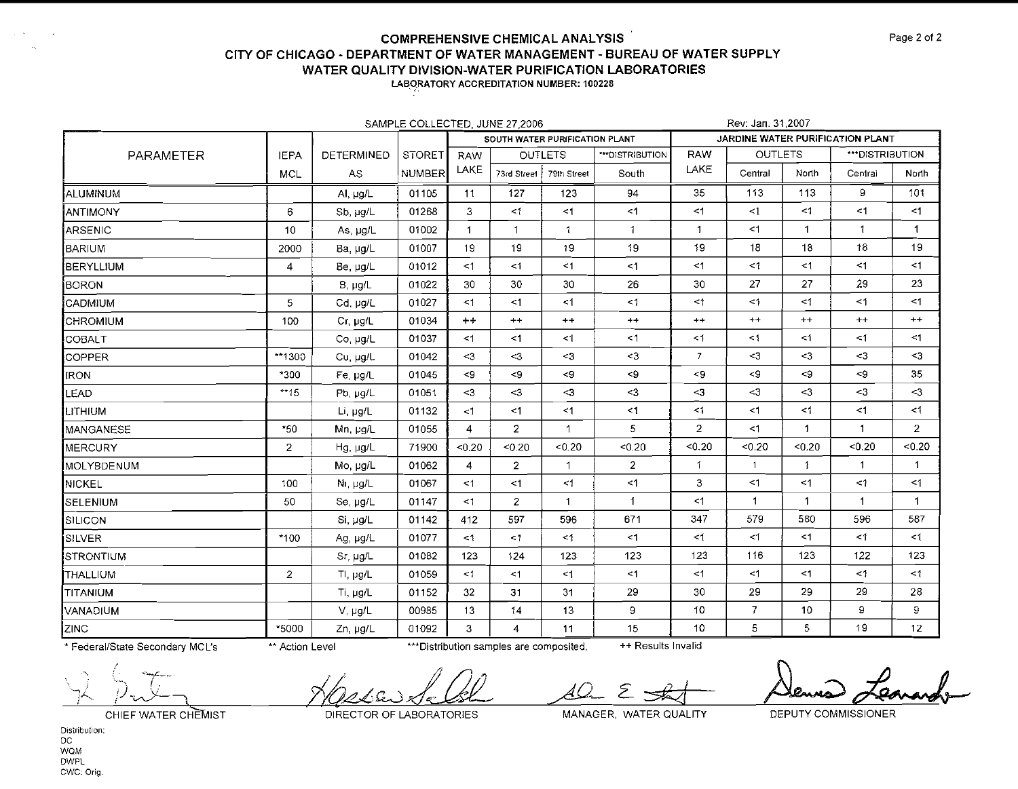| SAMPLE COLLECTED, JUNE 27,2006 |                |               |               |                 |                |                                |                  |                                  |                | Rev: Jan. 31,2007  |                              |                 |  |  |  |
|--------------------------------|----------------|---------------|---------------|-----------------|----------------|--------------------------------|------------------|----------------------------------|----------------|--------------------|------------------------------|-----------------|--|--|--|
|                                |                |               |               |                 |                | SOUTH WATER PURIFICATION PLANT |                  | JARDINE WATER PURIFICATION PLANT |                |                    |                              |                 |  |  |  |
| PARAMETER                      | <b>IEPA</b>    | DETERMINED    | <b>STORET</b> | <b>RAW</b>      |                | <b>OUTLETS</b>                 | *** DISTRIBUTION | <b>RAW</b>                       | <b>OUTLETS</b> |                    | ***DISTRIBUTION              |                 |  |  |  |
|                                | <b>MCL</b>     | AS.           | <b>NUMBER</b> | LAKE            | 73rd Street    | 79th Street                    | South            | LAKE                             | Central        | North              | Central                      | North           |  |  |  |
| ALUMINUM                       |                | Al, µg/L      | 01105         | 11              | 127            | 123                            | 94               | 35                               | 113            | 113                | 9                            | 101             |  |  |  |
| <b>ANTIMONY</b>                | 6              | Sb, ug/L      | 01268         | 3               | $\leq$ 1       | $\leq$ 1                       | <1               | $\leq$ 1                         | $\leq$ 1       | $\leq$ 1           | <1                           | $\leq$ 1        |  |  |  |
| ARSENIC                        | 10             | As, µg/L      | 01002         | 1               | 1              | $\mathbf{1}$                   | 1                | $\mathbf{1}$                     | <1             | $\mathbf 1$        | $\mathbf{1}$                 | 1               |  |  |  |
| BARIUM                         | 2000           | Ba, µg/L      | 01007         | 19              | 19             | 19                             | 19               | 19                               | 18             | 18                 | 18                           | 19              |  |  |  |
| BERYLLIUM)                     | $\overline{4}$ | Be, µg/L      | 01012         | <1              | <1             | $\leq$ 1                       | <1               | $\leq$ 1                         | $<$ 1          | $\leq 1$           | $<$ 1                        | $<$ 1           |  |  |  |
| <b>İ</b> BORON                 |                | $B, \mu g/L$  | 01022         | 30              | 30             | 30                             | 26               | 30                               | 27             | 27                 | 29                           | 23              |  |  |  |
| CADMIUM                        | 5              | Cd, µg/L      | 01027         | <1              | <1             | $\leq$ 1                       | $\leq 1$         | $\leq$ 1                         | $\leq 1$       | $\leq$ 1           | <1                           | <1              |  |  |  |
| CHROMIUM                       | 100            | Cr, µg/L      | 01034         | $++$            | $^{++}$        | $^{++}$                        | $^{++}$          | $^{++}$                          | $++$           | $^{++}$            | $^{++}$                      | $^{++}$         |  |  |  |
| <b>COBALT</b>                  |                | Co, µg/L      | 01037         | <1              | $<$ 1          | $\leq$ 1                       | $\leq$ 1         | $\leq$ 1                         | $\leq 1$       | $\leq$ 1           | <1                           | <1              |  |  |  |
| COPPER                         | **1300         | Cu, µg/L      | 01042         | $3$             | $3$            | $<$ 3                          | $3$              | $\overline{7}$                   | $3$            | $3$                | $\leq$                       | $<$ 3           |  |  |  |
| <b>IRON</b>                    | $*300$         | Fe, ug/L      | 01045         | < 9             | $\lt$ 9        | $\leq$                         | < 9              | < 9                              | $\prec$ 9      | $\mathord{\sim} 9$ | -9                           | 35              |  |  |  |
| <b>LEAD</b>                    | $*15$          | Pb, µg/L      | 01051         | $3$             | $3$            | $-3$                           | $\leq$ 3         | $<$ 3                            | $3$            | $\leq$ 3           | $\leq$                       | $\triangleleft$ |  |  |  |
| LITHIUM                        |                | Li, µg/L      | 01132         | <1              | $<$ 1          | $<$ 1                          | <1               | $\leq$ 1                         | <1             | $\leq$ 1           | <1                           | $\leq 1$        |  |  |  |
| MANGANESE                      | *50            | Mn, µg/L      | 01055         | $\overline{4}$  | $\overline{2}$ | $\overline{1}$                 | 5                | $\overline{2}$                   | <1             | $\mathbf{1}$       | $\mathbf{1}$                 | $\mathbf{2}$    |  |  |  |
| MERCURY                        | 2              | $Hg, \mu g/L$ | 71900         | < 0.20          | < 0.20         | < 0.20                         | < 0.20           | < 0.20                           | < 0.20         | < 0.20             | < 0.20                       | 0.20            |  |  |  |
| <b>IMOLYBDENUM</b>             |                | Mo, µg/L      | 01062         | 4               | $\mathbf{2}$   | $\mathbf{1}$                   | $\overline{2}$   | $\mathbf{1}$                     | $\mathbf{1}$   | $\mathbf{1}$       | $\mathbf{1}$                 | 1               |  |  |  |
| NICKEL                         | 100            | Ni, µg/L      | 01067         | $<$ 1           | <1             | $\leq 1$                       | <1               | 3                                | <1             | $\leq$ 1           | $\mathbf{<} \mathbf{\hat{}}$ | $\leq 1$        |  |  |  |
| SELENIUM                       | 50             | Se, ug/L      | 01147         | <1              | $\mathbf{2}$   | $\mathbf{1}$                   | -1               | $\leq$ 1                         | 1              | 1                  | $\mathbf{1}$                 | $\mathbf 1$     |  |  |  |
| SILICON                        |                | Si, µg/L      | 01142         | 412             | 597            | 596                            | 671              | 347                              | 579            | 580                | 596                          | 587             |  |  |  |
| <b>SILVER</b>                  | $*100$         | Ag, pg/L      | 01077         | $<$ 1           | $<$ 1          | $\leq$ 1                       | $<$ 1            | $\leq$ 1                         | $<\!1$         | <1                 | $<$ 1                        | <1              |  |  |  |
| STRONTIUM                      |                | Sr, µg/L      | 01082         | 123             | 124            | 123                            | 123              | 123                              | 116            | 123                | 122                          | 123             |  |  |  |
| <b>THALLIUM</b>                | $\overline{2}$ | TI, $\mu$ g/L | 01059         | <1              | <1             | $\leq 1$                       | <1               | <1                               | $\leq$ 1       | <1                 | $<$ 1                        | $<$ 1           |  |  |  |
| <b>TITANIUM</b>                |                | Ti, µg/L      | 01152         | 32 <sub>2</sub> | 31             | 31                             | 29               | 30                               | 29             | 29                 | 29                           | 28              |  |  |  |
| VANADIUM                       |                | V, µg/L       | 00985         | 13              | 14             | 13                             | 9                | 10                               | $\overline{7}$ | 10                 | 9                            | 9               |  |  |  |
| ZINC                           | *5000          | Zn, µg/L      | 01092         | 3               | $\overline{4}$ | 11                             | 15               | 10                               | 5              | 5                  | 19                           | 12 <sup>2</sup> |  |  |  |

\* Federal/State Secondary MCL's

\*\* Action Level

\*\*\* Distribution samples are composited.

++ Results Invalid

 $\mathscr{Q}$ 

CHIEF WATER CHEMIST

DIRECTOR OF LABORATORIES

MANAGER, WATER QUALITY

Σ

DEPUTY COMMISSIONER

Distribution:  $DC$ **WOM DWPL** CWC: Orig.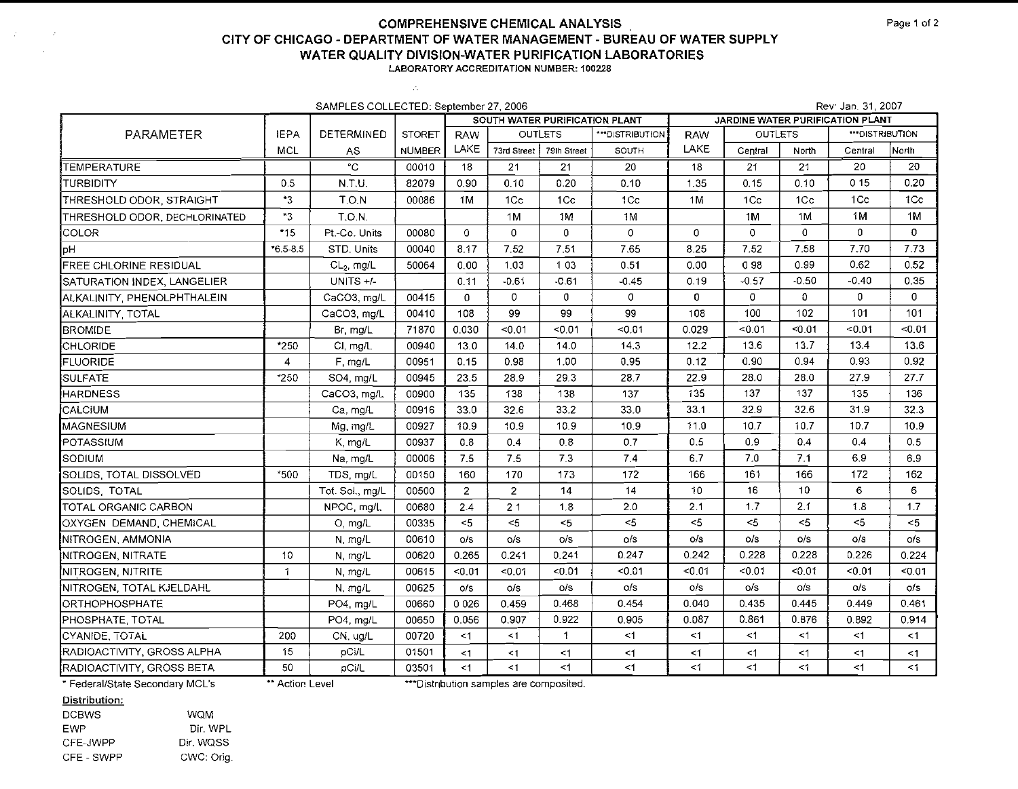$\mathcal{A}^{\mathcal{A}}$ 

| SAMPLES COLLECTED: September 27, 2006 |              |                 |               |                |                                |                |                 |              |                                  | Rev: Jan. 31, 2007 |                  |              |  |  |  |
|---------------------------------------|--------------|-----------------|---------------|----------------|--------------------------------|----------------|-----------------|--------------|----------------------------------|--------------------|------------------|--------------|--|--|--|
|                                       |              |                 |               |                | SOUTH WATER PURIFICATION PLANT |                |                 |              | JARDINE WATER PURIFICATION PLANT |                    |                  |              |  |  |  |
| PARAMETER                             | <b>IEPA</b>  | DETERMINED      | <b>STORET</b> | RAW            |                                | <b>OUTLETS</b> | ***DISTRIBUTION | <b>RAW</b>   | <b>OUTLETS</b>                   |                    | *** DISTRIBUTION |              |  |  |  |
|                                       | <b>MCL</b>   | AS.             | <b>NUMBER</b> | LAKE           | 73rd Street   79lh Street      |                | SOUTH           | LAKE         | Central                          | North              | Central          | North        |  |  |  |
| TEMPERATURE                           |              | °С              | 00010         | 18             | 21                             | 21             | 20              | 18           | 21                               | 21                 | 20               | 20           |  |  |  |
| TURBIDITY                             | 0.5          | N.T.U.          | 82079         | 0.90           | 0.10                           | 0.20           | 0.10            | 1.35         | 0.15                             | 0.10               | 015              | 0.20         |  |  |  |
| THRESHOLD ODOR, STRAIGHT              | $^{\ast}3$   | T.O.N           | 00086         | 1M             | 1Cc                            | 1Cc            | 1 <sub>C</sub>  | 1M           | 1Cc                              | 1Cc                | 1 <sub>C</sub>   | 1Cc          |  |  |  |
| THRESHOLD ODOR, DECHLORINATED         | *3           | T.O.N.          |               |                | 1M                             | 1M             | 1M              |              | 1M                               | 1M                 | 1M               | 1M           |  |  |  |
| COLOR                                 | $*15$        | Pt.-Co. Units   | 00080         | $\mathbf 0$    | $\mathbf 0$                    | $\overline{0}$ | $\overline{0}$  | $\mathbf 0$  | $\mathbf{0}$                     | $\mathbf 0$        | 0                | $\mathbf 0$  |  |  |  |
| Hq                                    | $6.5 - 8.5$  | STD. Units      | 00040         | 8.17           | 7.52                           | 7,51           | 7.65            | 8.25         | 7.52                             | 7.58               | 7.70             | 7.73         |  |  |  |
| FREE CHLORINE RESIDUAL                |              | $CL2$ , mg/L    | 50064         | 0.00           | 1.03                           | 1 0 3          | 0.51            | 0.00         | 098                              | 0.99               | 0.62             | 0.52         |  |  |  |
| SATURATION INDEX, LANGELIER           |              | UNITS +/-       |               | 0.11           | $-0.61$                        | $-0.61$        | $-0.45$         | 0.19         | $-0.57$                          | $-0.50$            | $-0.40$          | 0.35         |  |  |  |
| ALKALINITY, PHENOLPHTHALEIN           |              | CaCO3, mg/L     | 00415         | 0              | 0                              | $\sigma$       | $\sigma$        | $\mathbf{O}$ | 0                                | $\Omega$           | 0                | $\mathbf{0}$ |  |  |  |
| ALKALINITY, TOTAL                     |              | CaCO3, mg/L     | 00410         | 108            | 99                             | 99             | 99              | 108          | 100                              | 102                | 101              | 101          |  |  |  |
| <b>BROMIDE</b>                        |              | Br mg/L         | 71870         | 0.030          | < 0.01                         | < 0.01         | < 0.01          | 0.029        | < 0.01                           | < 0.01             | < 0.01           | < 0.01       |  |  |  |
| CHLORIDE                              | *250         | CI, mg/L        | 00940         | 13.0           | 14.0                           | 14.0           | 14.3            | 12.2         | 13.6                             | 13.7               | 13.4             | 13.6         |  |  |  |
| FLUORIDE                              | 4            | F. mg/L         | 00951         | 0.15           | 0.98                           | 1.00           | 0.95            | 0.12         | 0.90                             | 0.94               | 0.93             | 0.92         |  |  |  |
| <b>SULFATE</b>                        | $*250$       | SO4, mg/L       | 00945         | 23.5           | 28.9                           | 29.3           | 28.7            | 22.9         | 28.0                             | 28.0               | 27.9             | 27.7         |  |  |  |
| <b>HARDNESS</b>                       |              | CaCO3, mg/L     | 00900         | 135            | 138                            | 138            | 137             | 135          | 137                              | 137                | 135              | 136          |  |  |  |
| <b>I</b> CALCIUM                      |              | Ca, mg/L        | 00916         | 33.0           | 32.6                           | 33.2           | 33.0            | 33.1         | 32.9                             | 32.6               | 31.9             | 32.3         |  |  |  |
| MAGNESIUM                             |              | Mg, mg/L        | 00927         | 10.9           | 10.9                           | 10.9           | 10.9            | 11.0         | 10.7                             | 10.7               | 10.7             | 10.9         |  |  |  |
| POTASSIUM                             |              | K mg/L          | 00937         | 0.8            | 0.4                            | 0.8            | 0.7             | 0.5          | 0.9                              | 0.4                | 0.4              | 0.5          |  |  |  |
| SODIUM                                |              | Na, mg/L        | 00006         | 7.5            | 7.5                            | 7.3            | 7.4             | 6.7          | 7.0                              | 7.1                | 6.9              | 6.9          |  |  |  |
| SOLIDS, TOTAL DISSOLVED               | $*500$       | TDS, mg/L       | 00150         | 160            | 170                            | 173            | 172             | 166          | 161                              | 166                | 172              | 162          |  |  |  |
| SOLIDS, TOTAL                         |              | Tot. Sol., mg/L | 00500         | $\overline{2}$ | $\overline{2}$                 | 14             | 14              | 10           | 16                               | 10                 | 6                | 6            |  |  |  |
| <b>TOTAL ORGANIC CARBON</b>           |              | NPOC mg/L       | 00680         | 2.4            | 21                             | 1.8            | 2.0             | 2.1          | 1.7                              | 2.1                | 1,8              | 1.7          |  |  |  |
| OXYGEN DEMAND, CHEMICAL               |              | O, mg/L         | 00335         | < 5            | < 5                            | 5<             | < 5             | $5 -$        | < 5                              | $<$ 5              | < 5              | < 5          |  |  |  |
| NITROGEN, AMMONIA                     |              | N mg/L          | 00610         | o/s            | O/S                            | O/S            | O/S             | O/S          | O/S                              | O/S                | O/S              | $\circ$ /s   |  |  |  |
| NITROGEN, NITRATE                     | 10           | N mg/L          | 00620         | 0.265          | 0.241                          | 0.241          | 0.247           | 0.242        | 0.228                            | 0.228              | 0.226            | 0.224        |  |  |  |
| NITROGEN, NITRITE                     | $\mathbf{1}$ | N. mg/L         | 00615         | < 0.01         | < 0.01                         | < 0.01         | < 0.01          | 50.01        | < 0.01                           | < 0.01             | < 0.01           | < 0.01       |  |  |  |
| NITROGEN, TOTAL KJELDAHL              |              | N. mg/L         | 00625         | o/s            | O/S                            | o/s            | o/s             | O/S          | o/s                              | O/S                | o/s              | o/s          |  |  |  |
| <i><b>ORTHOPHOSPHATE</b></i>          |              | PO4, mg/L       | 00660         | 0026           | 0.459                          | 0.468          | 0.454           | 0.040        | 0.435                            | 0.445              | 0.449            | 0.461        |  |  |  |
| PHOSPHATE, TOTAL                      |              | PO4, mg/L       | 00650         | 0.056          | 0.907                          | 0.922          | 0.905           | 0.087        | 0.861                            | 0.876              | 0.892            | 0.914        |  |  |  |
| CYANIDE, TOTAL                        | 200          | CN, ug/L        | 00720         | <1             | $\leq$ 1                       | $\mathbf{1}$   | <1              | $<$ 1        | <1                               | <1                 | <1               | $\leq 1$     |  |  |  |
| RADIOACTIVITY, GROSS ALPHA            | 15           | pCi/L           | 01501         | $\leq$ 1       | <1                             | $<$ 1          | $\leq$ 1        | $<$ 1        | <1                               | $\leq$ 1           | <1               | $<$ 1        |  |  |  |
| RADIOACTIVITY, GROSS BETA             | 50           | pCi/L           | 03501         | <1             | <1                             | $<$ 1          | $\leq$ 1        | $\leq 1$     | $\leq$ 1                         | $\leq$ 1           | $<$ 1            | $\leq 1$     |  |  |  |

\* Federal/State Secondary MCL's " \*\* Action Level ""Distribution samples are composited.

#### Distribution:

 $\sim 2000$ 

 $\sim$   $\omega$ 

DCBWS WQM EWP Dir. WPL CFE-JWPP Dir. WQSS CFE - SWPP CWC: Orig.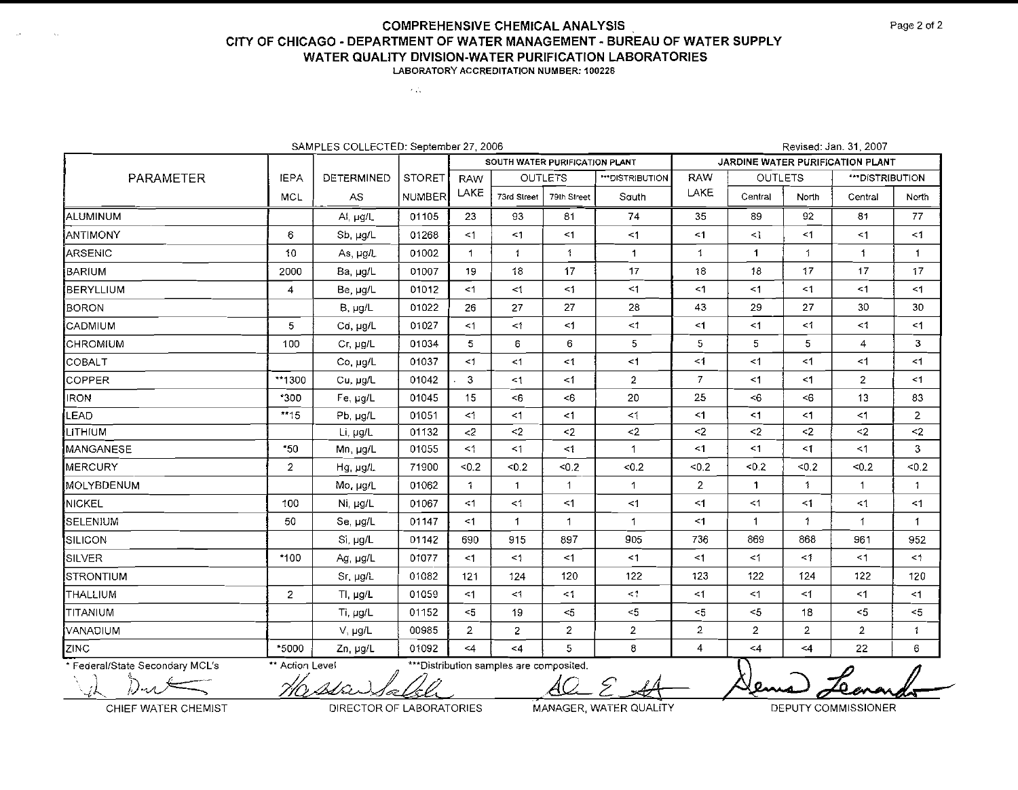$\sim 21$ 

| SAMPLES COLLECTED: September 27, 2006 |                                |                   |               |                |                                          |                |                      |                       |                                  | Revised: Jan. 31, 2007 |                 |                     |  |  |  |  |
|---------------------------------------|--------------------------------|-------------------|---------------|----------------|------------------------------------------|----------------|----------------------|-----------------------|----------------------------------|------------------------|-----------------|---------------------|--|--|--|--|
|                                       | SOUTH WATER PURIFICATION PLANT |                   |               |                |                                          |                |                      |                       | JARDINE WATER PURIFICATION PLANT |                        |                 |                     |  |  |  |  |
| PARAMETER                             | <b>IEPA</b>                    | <b>DETERMINED</b> | <b>STORET</b> | <b>RAW</b>     |                                          | <b>OUTLETS</b> | <b>HOISTRIBUTION</b> | <b>RAW</b>            | <b>OUTLETS</b>                   |                        | ***DISTRIBUTION |                     |  |  |  |  |
|                                       | <b>MCL</b>                     | AS                | NUMBER        | LAKE           | 73rd Street                              | 79th Street    | South                | LAKE                  | Central                          | North                  | Central         | North               |  |  |  |  |
| ALUMINUM                              |                                | Ai, µg/L          | 01105         | 23             | 93                                       | 81             | 74                   | 35                    | 89                               | 92                     | 81              | 77                  |  |  |  |  |
| <b>ANTIMONY</b>                       | 6                              | Sb, µg/L          | 01268         | <1             | $\leq$ 1                                 | $\leq$ 1       | <1                   | $\leq$ 1              | $\leq$ 1                         | $\leq$ 1               | $\leq$ 1        | $\leq$ 1            |  |  |  |  |
| ARSENIC                               | 10                             | As, $\mu g/L$     | 01002         | 1              | $\mathbf{1}$                             | $\mathbf{1}$   | $\mathbf{1}$         | 1                     | $\mathbf{1}$                     | $\mathbf{1}$           | $\mathbf{1}$    | $\mathbf{1}$        |  |  |  |  |
| BARIUM                                | 2000                           | Ba, ug/L          | 01007         | 19             | 18                                       | 17             | 17                   | 18                    | 18                               | 17                     | 17              | 17                  |  |  |  |  |
| BERYLLIUM                             | 4                              | Be, µg/L          | 01012         | <1             | <1                                       | $\leq$ 1       | <1                   | <1                    | $\leq$ 1                         | $\leq$ 1               | <1              | <1                  |  |  |  |  |
| BORON                                 |                                | $B, \mu g/L$      | 01022         | 26             | 27                                       | 27             | 28                   | 43                    | 29                               | 27                     | 30              | 30                  |  |  |  |  |
| CADMIUM                               | 5                              | Cd, µg/L          | 01027         | <1             | <1                                       | $\leq$ 1       | $\leq$ 1             | $\leq$ 1              | <1                               | $\leq$ 1               | $\mathbf{<}1$   | $\leq$ 1            |  |  |  |  |
| <b>CHROMIUM</b>                       | 100                            | Cr, ug/L          | 01034         | 5              | 6                                        | 6              | 5                    | 5                     | 5                                | 5                      | 4               | 3                   |  |  |  |  |
| COBALT                                |                                | Co, µg/L          | 01037         | $\leq$ 1       | < 1                                      | $\leq 1$       | <1                   | $\leq 1$              | <1                               | $\leq$ 1               | <1              | $\leq$ 1            |  |  |  |  |
| COPPER                                | **1300                         | Cu, µg/L          | 01042         | 3              | $<$ 1                                    | $\leq$ 1       | $\overline{2}$       | 7 <sup>1</sup>        | $<$ 1                            | $\leq$ 1               | $\overline{2}$  | <1                  |  |  |  |  |
| <b>IRON</b>                           | $*300$                         | Fe, ug/L          | 01045         | 15             | <6                                       | <6             | 20                   | 25                    | $\leq 6$                         | $\leq 6$               | 13              | 83                  |  |  |  |  |
| LEAD                                  | **15                           | Pb, µg/L          | 01051         | <1             | <1                                       | $\leq$ 1       | <1                   | $\leq$ 1              | $<$ 1                            | $<$ 1                  | $<$ 1           | $\overline{2}$      |  |  |  |  |
| <b>І</b> цітнійм                      |                                | Li, µg/L          | 01132         | $<$ 2          | $2$                                      | $\leq$ 2       | $\leq$               | $\sim$ 2              | $2$                              | $\leq$ 2               | $2$             | $\leq$              |  |  |  |  |
| MANGANESE                             | *50                            | Mn, µg/L          | 01055         | $<$ 1          | <1                                       | $\leq 1$       | 1                    | <1                    | <1                               | <1                     | $<$ 1           | 3                   |  |  |  |  |
| MERCURY                               | $\overline{2}$                 | Hg, µg/L          | 71900         | < 0.2          | $-0.2$                                   | < 0.2          | < 0.2                | < 0.2                 | 50.2                             | < 0.2                  | 50.2            | < 0.2               |  |  |  |  |
| <b>MOLYBDENUM</b>                     |                                | Mo, µg/L          | 01062         | $\mathbf{1}$   | $\mathbf{1}$                             | $\mathbf{1}$   | 1                    | $\overline{2}$        | $\mathbf{1}$                     | 1                      | $\mathbf 1$     | 1                   |  |  |  |  |
| NICKEL                                | 100                            | Ni, µg/L          | 01067         | < 1            | $\leq$ 1                                 | $\leq$ 1       | <1                   | $\leq$ 1              | $\leq$ 1                         | $\leq 1$               | $\leq 1$        | <1                  |  |  |  |  |
| SELENIUM                              | 50                             | Se, µg/L          | 01147         | $<$ 1          | 1                                        | $\mathbf{1}$   | 1                    | $\leq$ 1              | $\overline{1}$                   | 1.                     | 1               | 1                   |  |  |  |  |
| SILICON                               |                                | Si, ug/L          | 01142         | 690            | 915                                      | 897            | 905                  | 736                   | 869                              | 868                    | 961             | 952                 |  |  |  |  |
| SILVER                                | $*100$                         | Ag, µg/L          | 01077         | <1             | $\leq$ 1                                 | $\leq$ 1       | < 1                  | $\leq$ 1              | $\leq$ 1                         | $\leq$ 1               | $\leq$ 1        | $\leq$ <sup>1</sup> |  |  |  |  |
| STRONTIUM                             |                                | Sr, µg/L          | 01082         | 121            | 124                                      | 120            | 122                  | 123                   | 122                              | 124                    | 122             | 120                 |  |  |  |  |
| THALLIUM                              | $\overline{2}$                 | TI, $\mu g/L$     | 01059         | $1$            | $<$ 1                                    | $\leq$ 1       | $\leq$ 1             | $\leq$ 1              | $\leq$ 1                         | $\leq$ 1               | <1              | $\leq$ 1            |  |  |  |  |
| TITANIUM                              |                                | Ti, $\mu q/L$     | 01152         | $<$ 5          | 19                                       | $<$ 5          | $<$ 5                | $\mathord{\text{<}}5$ | $<$ 5                            | 18                     | $<$ 5           | $< 5$               |  |  |  |  |
| <b>VANADIUM</b>                       |                                | $V, \mu g/L$      | 00985         | $\overline{2}$ | $\overline{2}$                           | 2 <sup>1</sup> | $\overline{2}$       | $\overline{2}$        | $\overline{2}$                   | $\overline{2}$         | $\overline{2}$  | $\mathbf{1}$        |  |  |  |  |
| ZINC                                  | *5000                          | Zn, µg/L          | 01092         | $\leq$ 4       | $<\!\!4$                                 | 5              | 8                    | 4                     | $<$ 4                            | $\leq 4$               | 22              | 6                   |  |  |  |  |
| * Federal/State Secondary MCL's       | ** Action Level                |                   |               |                | *** Distribution samples are composited. |                |                      |                       |                                  |                        | D               | $\sqrt{ }$          |  |  |  |  |

CHIEF WATER CHEMIST **DIRECTOR OF LABORATORIES** MANAGER, WATER QUALITY **DEPUTY COMMISSIONER** 

Jema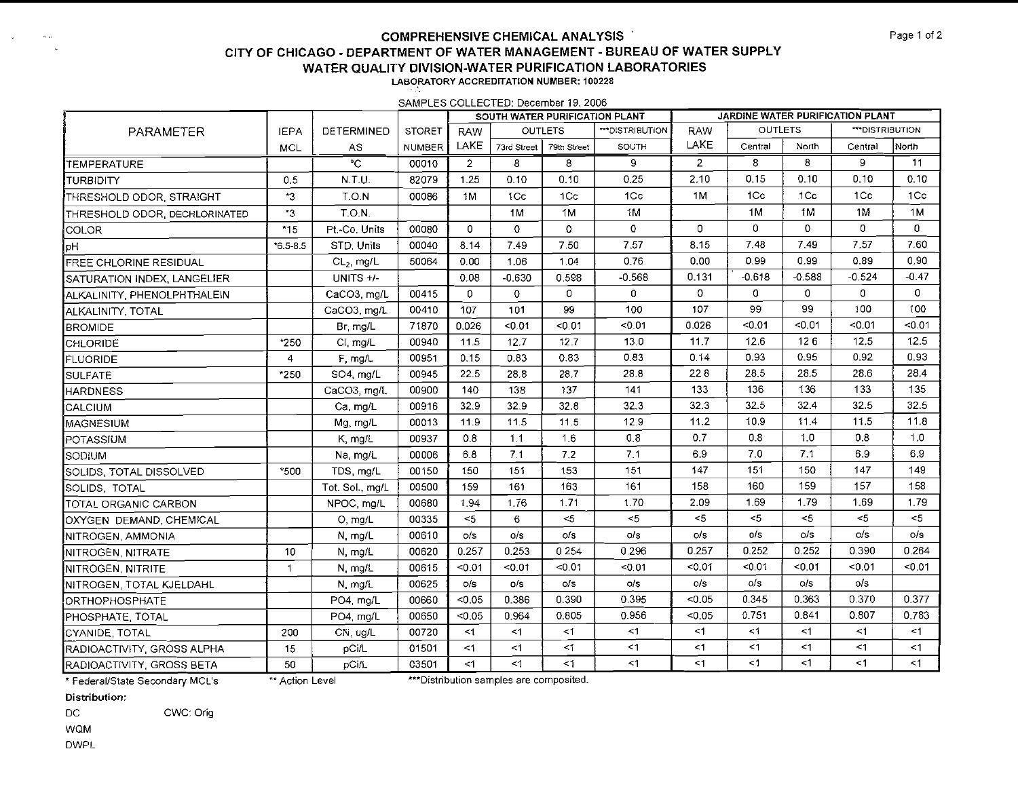SAMPLES COLLECTED: December 19, 2006

|                               |                |                   |               |                | SOUTH WATER PURIFICATION PLANT |                |                 | JARDINE WATER PURIFICATION PLANT |                |                 |               |                   |  |
|-------------------------------|----------------|-------------------|---------------|----------------|--------------------------------|----------------|-----------------|----------------------------------|----------------|-----------------|---------------|-------------------|--|
| PARAMETER                     | <b>IEPA</b>    | <b>DETERMINED</b> | <b>STORET</b> | <b>RAW</b>     |                                | <b>OUTLETS</b> | ***DISTRIBUTION | <b>RAW</b>                       | <b>OUTLETS</b> |                 | "DISTRIBUTION |                   |  |
|                               | MCL            | AS                | NUMBER        | LAKE           | 73rd Street                    | 79th Street    | SOUTH           | LAKE                             | Central        | North           | Central       | North             |  |
| TEMPERATURE                   |                | $\overline{c}$    | 00010         | $\overline{2}$ | 8                              | 8              | 9               | $\overline{2}$                   | 8              | 8               | 9.            | 11                |  |
| Iturbidity                    | 0.5            | N.T.U.            | 82079         | 1.25           | 0.10                           | 0.10           | 0.25            | 2.10                             | 0.15           | 0.10            | 0.10          | 0.10              |  |
| THRESHOLD ODOR. STRAIGHT      | *3             | T.O.N             | 00086         | 1M             | 1Cc                            | 1Cc            | 1Cc             | 1 M                              | 1Cc            | 1 <sub>Cc</sub> | 1Cc           | 1Cc               |  |
| THRESHOLD ODOR, DECHLORINATED | *3             | <b>T.O.N.</b>     |               |                | 1M                             | 1M             | 1 <sub>N</sub>  |                                  | 1M             | 1M              | 1M            | 1M                |  |
| ICOLOR                        | $*15$          | Pt.-Co. Units     | 00080         | 0              | $\circ$                        | 0              | 0               | $\overline{O}$                   | 0              | $\Omega$        | $\mathbf 0$   | 0                 |  |
| Hal                           | $*6.5 - 8.5$   | STD. Units        | 00040         | 8.14           | 7.49                           | 7.50           | 7.57            | 8.15                             | 7.48           | 7.49            | 7.57          | 7.60              |  |
| <b>FREE CHLORINE RESIDUAL</b> |                | $CL2$ , mg/L      | 50064         | 0.00           | 1.06                           | 1.04           | 0.76            | 0.00                             | 0.99           | 0.99            | 0.89          | 0.90 <sub>1</sub> |  |
| SATURATION INDEX, LANGELIER   |                | UNITS $+/-$       |               | 0.08           | $-0.630$                       | 0.598          | $-0.568$        | 0.131                            | $-0.618$       | $-0.588$        | $-0.524$      | $-0.47$           |  |
| ALKALINITY, PHENOLPHTHALEIN   |                | CaCO3, mg/L       | 00415         | $\mathbf{0}$   | $\circ$                        | 0              | $\mathbf 0$     | $\mathbf{O}$                     | $\mathbf{0}$   | $\mathbf{0}$    | $\mathbf 0$   | $\mathbf{0}$      |  |
| İALKALINITY, TOTAL            |                | CaCO3, mg/L       | 00410         | 107            | 101                            | 99             | 100             | 107                              | 99             | 99              | 100           | 100               |  |
| <b>BROMIDE</b>                |                | Br, mg/L          | 71870         | 0.026          | 0.01                           | < 0.01         | < 0.01          | 0.026                            | < 0.01         | < 0.01          | $-0.01$       | < 0.01            |  |
| CHLORIDE                      | *250           | CI, mg/L          | 00940         | 11.5           | 12.7                           | 12.7           | 13.0            | 11.7                             | 12.6           | 126             | 12.5          | 12.5              |  |
| <b>FLUORIDE</b>               | $\overline{4}$ | F, mg/L           | 00951         | 0.15           | 0.83                           | 0.83           | 0.83            | 0.14                             | 0.93           | 0.95            | 0.92          | 0.93              |  |
| SULFATE                       | *250           | SO4, mg/L         | 00945         | 22.5           | 28.8                           | 28.7           | 28.8            | 228                              | 28.5           | 28.5            | 28.6          | 28.4              |  |
| <b>HARDNESS</b>               |                | CaCO3, mg/L       | 00900         | 140            | 138                            | 337            | 141             | 133                              | 136            | 136             | 133           | 135               |  |
| <b>CALCIUM</b>                |                | Ca, mg/L          | 00916         | 32.9           | 32.9                           | 32.8           | 32.3            | 32.3                             | 32.5           | 32.4            | 32.5          | 32.5              |  |
| MAGNESIUM                     |                | Mg, mg/L          | 00013         | 11.9           | 11.5                           | 11.5           | 12.9            | 11.2                             | 10.9           | 11.4            | 11.5          | 11.8              |  |
| POTASSIUM                     |                | K, mg/L           | 00937         | 0.8            | 1.1                            | 1.6            | 0,8             | 0.7                              | 0.8            | 1.0             | 0.8           | 1,0               |  |
| Isodium                       |                | Na, mg/L          | 00006         | 6.8            | 7.1                            | 7.2            | 7.1             | 6.9                              | 7.0            | 7.1             | 6.9           | 6.9               |  |
| SOLIDS, TOTAL DISSOLVED       | *500           | TDS, mg/L         | 00150         | 150            | 151                            | 153            | 151             | 147                              | 151            | 150             | 147           | 149               |  |
| SOLIDS, TOTAL                 |                | Tot. Sol., mg/L   | 00500         | 159            | 161                            | 163            | 161             | 158                              | 160            | 159             | 157           | 158               |  |
| TOTAL ORGANIC CARBON          |                | NPOC, mg/L        | 00680         | 1.94           | 1.76                           | 1.71           | 1.70            | 2.09                             | 1.69           | 1.79            | 1.69          | 1.79              |  |
| OXYGEN DEMAND, CHEMICAL       |                | O, mg/L           | 00335         | $<$ 5          | 6                              | $5$            | < 5             | $<$ 5                            | $<$ 5          | $<$ 5           | $5$           | $<$ 5             |  |
| NITROGEN, AMMONIA             |                | N, mg/L           | 00610         | o/s            | o/s                            | $\circ$ /s     | ols             | $\circ$ /s                       | 0/s            | o/s             | O/S           | o/s               |  |
| NITROGEN, NITRATE             | 10             | N, mg/L           | 00620         | 0.257          | 0.253                          | 0254           | 0.296           | 0.257                            | 0.252          | 0.252           | 0.390         | 0.264             |  |
| NITROGEN, NITRITE             | $\mathbf{1}$   | N, mg/L           | 00615         | < 0.01         | < 0.01                         | < 0.01         | < 0.01          | < 0.01                           | $-0.01$        | < 0.01          | < 0.01        | < 0.01            |  |
| NITROGEN, TOTAL KJELDAHL      |                | N. mg/L           | 00625         | o/s            | o/s                            | O/S            | o/s             | o/s                              | 0/s            | $\circ$ /s      | 0/s           |                   |  |
| ORTHOPHOSPHATE                |                | PO4, mg/L         | 00660         | < 0.05         | 0.386                          | 0.390          | 0.395           | < 0.05                           | 0.345          | 0.363           | 0.370         | 0.377             |  |
| PHOSPHATE, TOTAL              |                | PO4, mg/L         | 00650         | < 0.05         | 0.964                          | 0.805          | 0.956           | < 0.05                           | 0.751          | 0.841           | 0.807         | 0.783             |  |
| CYANIDE, TOTAL                | 200            | CN, ug/L          | 00720         | <1             | <1                             | <1             | <1              | <1                               | $<$ 1          | <1              | $<$ 1         | $\leq$ 1          |  |
| RADIOACTIVITY, GROSS ALPHA    | 15             | pCi/L             | 01501         | <1             | <1                             | $\leq$ 1       | $1$             | <1                               | <1             | <1              | $<$ 1         | <1                |  |
| RADIOACTIVITY, GROSS BETA     | 50             | pCi/L             | 03501         | <1             | $\leq 1$                       | $\leq 1$       | <1              | $\leq$ 1                         | $<$ 1          | $\leq$ 1        | <1            | $\leq$ 1          |  |

\* Federal/State Secondary MCL's

\*\* Action Level

\*\*\*Distribution samples are composited.

**Distribution:** 

DC CWC: Orig

WQM DWPL

 $\sigma$   $\sim$ 

 $\sim$